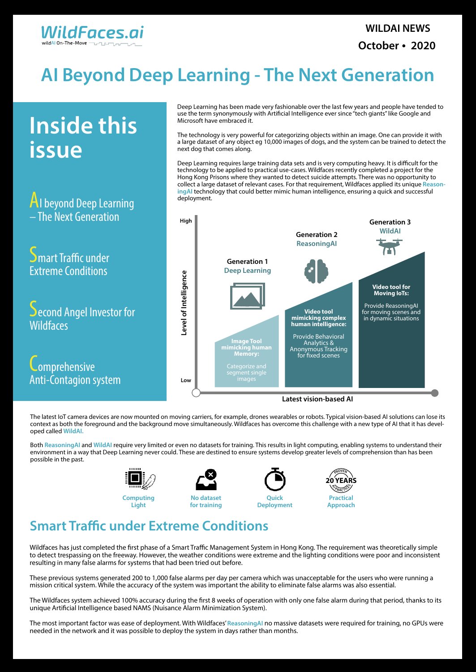

# **AI Beyond Deep Learning - The Next Generation**

AI beyond Deep Learning – The Next Generation

**Inside this issue**

Smart Traffic under Extreme Conditions

Second Angel Investor for **Wildfaces** 

**Lomprehensive** Anti-Contagion system

Deep Learning has been made very fashionable over the last few years and people have tended to use the term synonymously with Artificial Intelligence ever since "tech giants" like Google and Microsoft have embraced it.

The technology is very powerful for categorizing objects within an image. One can provide it with a large dataset of any object eg 10,000 images of dogs, and the system can be trained to detect the next dog that comes along.

Deep Learning requires large training data sets and is very computing heavy. It is difficult for the technology to be applied to practical use-cases. Wildfaces recently completed a project for the Hong Kong Prisons where they wanted to detect suicide attempts. There was no opportunity to collect a large dataset of relevant cases. For that requirement, Wildfaces applied its unique **ReasoningAI** technology that could better mimic human intelligence, ensuring a quick and successful deployment.

Wildfaces has just completed the first phase of a Smart Traffic Management System in Hong Kong. The requirement was theoretically simple to detect trespassing on the freeway. However, the weather conditions were extreme and the lighting conditions were poor and inconsistent resulting in many false alarms for systems that had been tried out before.

The latest IoT camera devices are now mounted on moving carriers, for example, drones wearables or robots. Typical vision-based AI solutions can lose its context as both the foreground and the background move simultaneously. Wildfaces has overcome this challenge with a new type of AI that it has developed called **WildAI.**

Both **ReasoningAI** and **WildAI** require very limited or even no datasets for training. This results in light computing, enabling systems to understand their environment in a way that Deep Learning never could. These are destined to ensure systems develop greater levels of comprehension than has been possible in the past.

These previous systems generated 200 to 1,000 false alarms per day per camera which was unacceptable for the users who were running a mission critical system. While the accuracy of the system was important the ability to eliminate false alarms was also essential.

The Wildfaces system achieved 100% accuracy during the first 8 weeks of operation with only one false alarm during that period, thanks to its unique Artificial Intelligence based NAMS (Nuisance Alarm Minimization System).

The most important factor was ease of deployment. With Wildfaces' **ReasoningAI** no massive datasets were required for training, no GPUs were needed in the network and it was possible to deploy the system in days rather than months.



![](_page_0_Figure_14.jpeg)

### **Smart Traffic under Extreme Conditions**